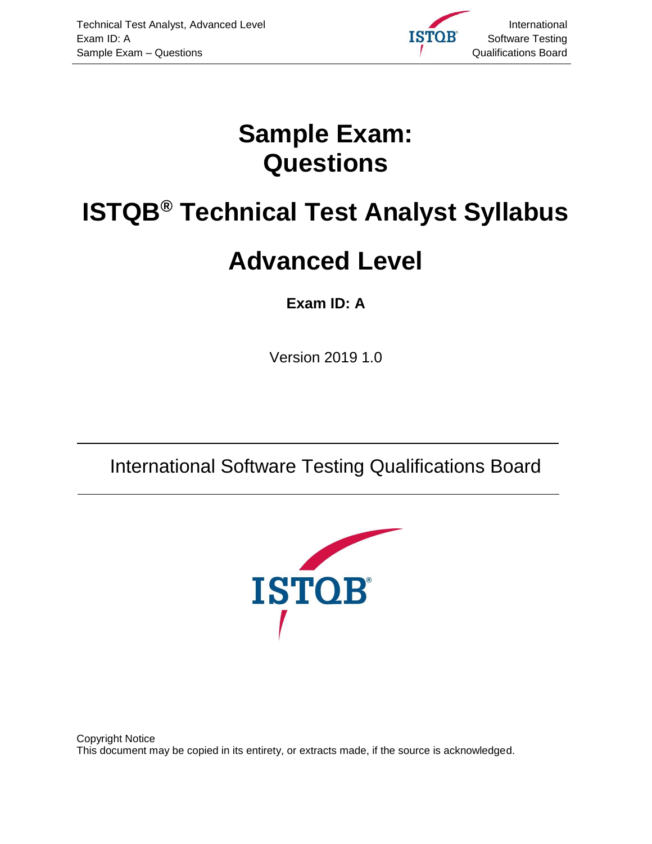

# **Sample Exam: Questions**

# <span id="page-0-1"></span>**ISTQB® Technical Test Analyst Syllabus**

# <span id="page-0-0"></span>**Advanced Level**

<span id="page-0-2"></span>**Exam ID: A**

Version 2019 1.0

International Software Testing Qualifications Board



Copyright Notice This document may be copied in its entirety, or extracts made, if the source is acknowledged.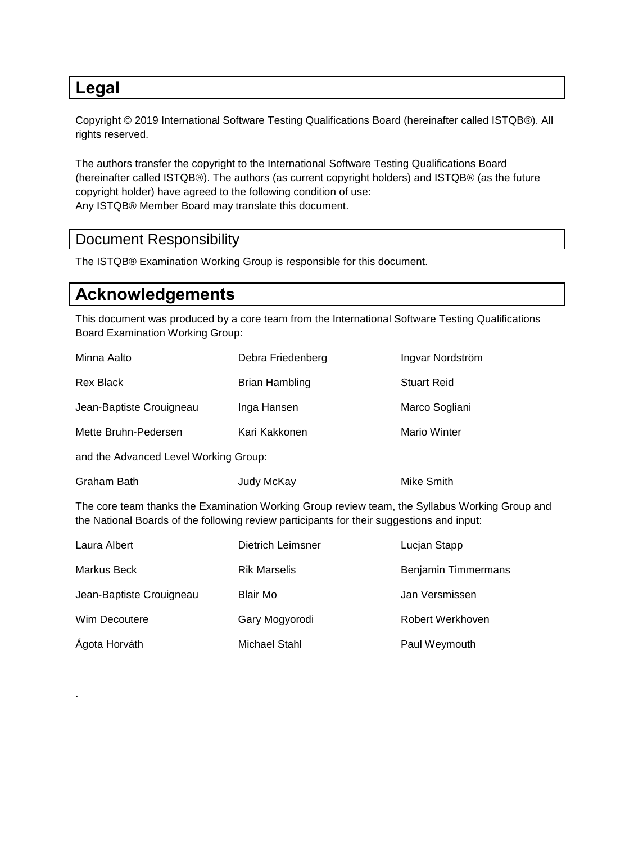## <span id="page-1-0"></span>**Legal**

.

Copyright © 2019 International Software Testing Qualifications Board (hereinafter called ISTQB®). All rights reserved.

The authors transfer the copyright to the International Software Testing Qualifications Board (hereinafter called ISTQB®). The authors (as current copyright holders) and ISTQB® (as the future copyright holder) have agreed to the following condition of use: Any ISTQB® Member Board may translate this document.

#### <span id="page-1-1"></span>Document Responsibility

The ISTQB® Examination Working Group is responsible for this document.

## <span id="page-1-2"></span>**Acknowledgements**

This document was produced by a core team from the International Software Testing Qualifications Board Examination Working Group:

| Minna Aalto                           | Debra Friedenberg | Ingvar Nordström   |
|---------------------------------------|-------------------|--------------------|
| Rex Black                             | Brian Hambling    | <b>Stuart Reid</b> |
| Jean-Baptiste Crouigneau              | Inga Hansen       | Marco Sogliani     |
| Mette Bruhn-Pedersen                  | Kari Kakkonen     | Mario Winter       |
| and the Advanced Level Working Group: |                   |                    |
| Graham Bath                           | Judy McKay        | Mike Smith         |

The core team thanks the Examination Working Group review team, the Syllabus Working Group and the National Boards of the following review participants for their suggestions and input:

| Laura Albert             | Dietrich Leimsner   | Lucjan Stapp               |
|--------------------------|---------------------|----------------------------|
| Markus Beck              | <b>Rik Marselis</b> | <b>Benjamin Timmermans</b> |
| Jean-Baptiste Crouigneau | Blair Mo            | Jan Versmissen             |
| Wim Decoutere            | Gary Mogyorodi      | Robert Werkhoven           |
| Ágota Horváth            | Michael Stahl       | Paul Weymouth              |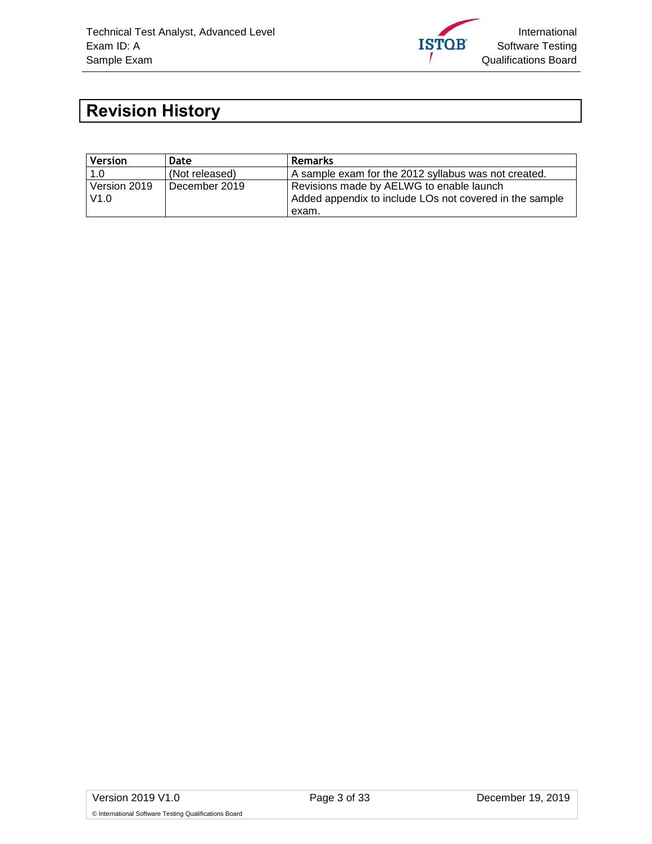

# <span id="page-2-0"></span>**Revision History**

| <b>Version</b> | Date           | <b>Remarks</b>                                          |
|----------------|----------------|---------------------------------------------------------|
| 1.0            | (Not released) | A sample exam for the 2012 syllabus was not created.    |
| Version 2019   | December 2019  | Revisions made by AELWG to enable launch                |
| V1.0           |                | Added appendix to include LOs not covered in the sample |
|                |                | exam.                                                   |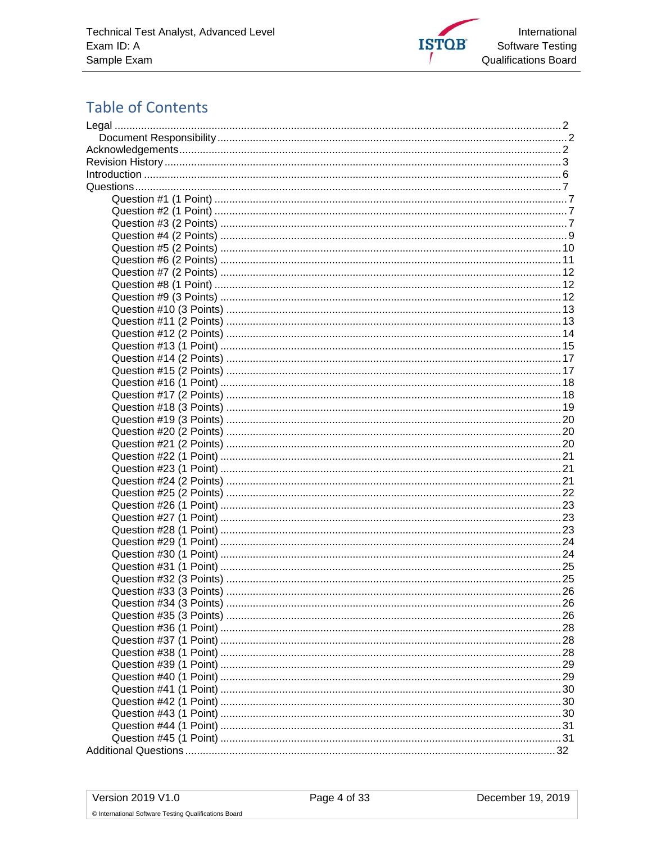

## **Table of Contents**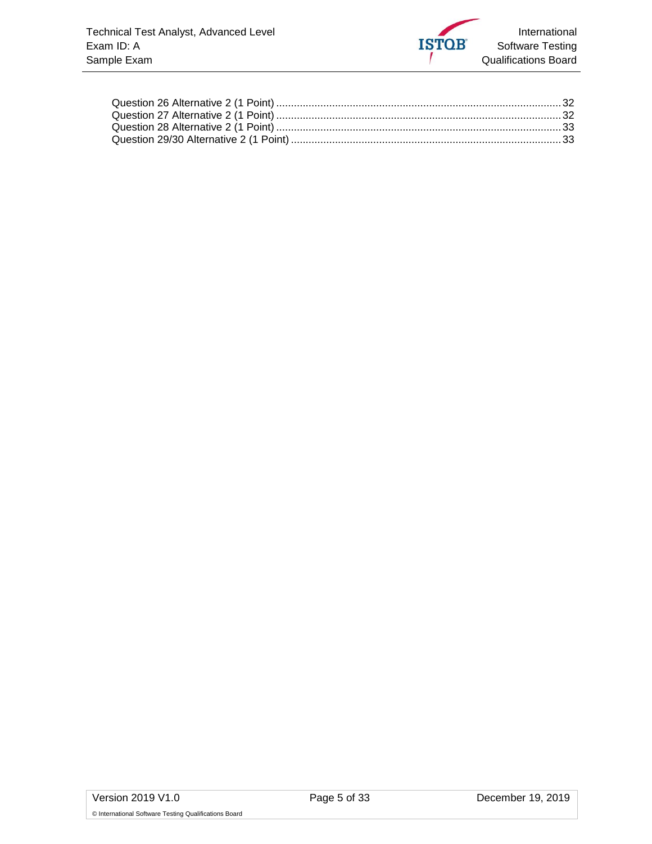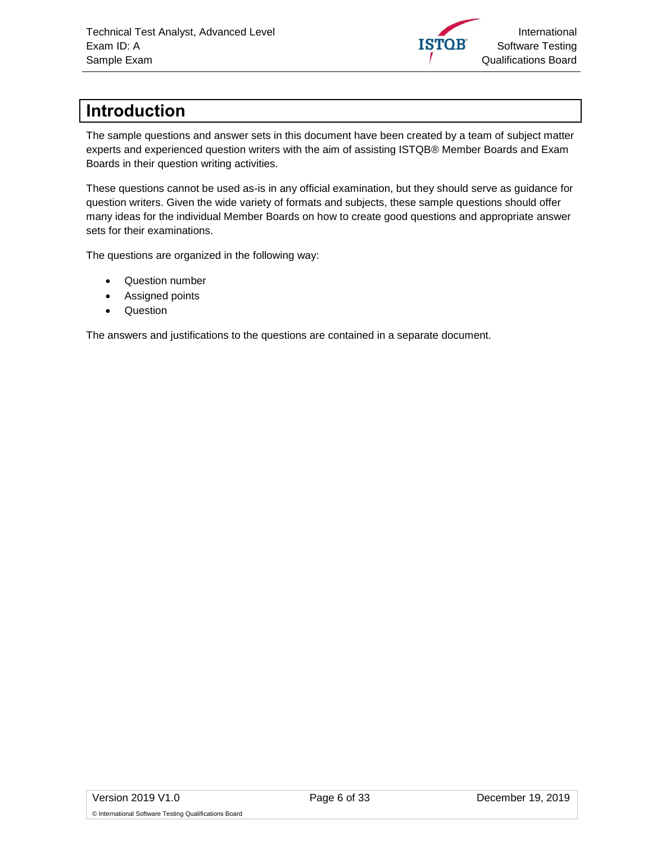

# <span id="page-5-0"></span>**Introduction**

The sample questions and answer sets in this document have been created by a team of subject matter experts and experienced question writers with the aim of assisting ISTQB® Member Boards and Exam Boards in their question writing activities.

These questions cannot be used as-is in any official examination, but they should serve as guidance for question writers. Given the wide variety of formats and subjects, these sample questions should offer many ideas for the individual Member Boards on how to create good questions and appropriate answer sets for their examinations.

The questions are organized in the following way:

- Question number
- Assigned points
- Question

The answers and justifications to the questions are contained in a separate document.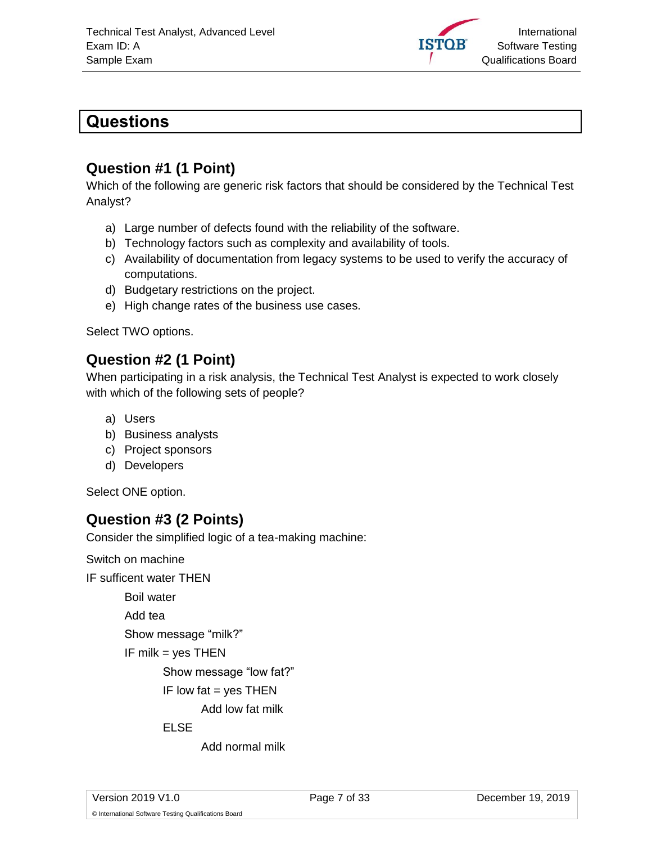

## <span id="page-6-0"></span>**Questions**

#### <span id="page-6-1"></span>**Question #1 (1 Point)**

Which of the following are generic risk factors that should be considered by the Technical Test Analyst?

- a) Large number of defects found with the reliability of the software.
- b) Technology factors such as complexity and availability of tools.
- c) Availability of documentation from legacy systems to be used to verify the accuracy of computations.
- d) Budgetary restrictions on the project.
- e) High change rates of the business use cases.

Select TWO options.

#### <span id="page-6-2"></span>**Question #2 (1 Point)**

When participating in a risk analysis, the Technical Test Analyst is expected to work closely with which of the following sets of people?

- a) Users
- b) Business analysts
- c) Project sponsors
- d) Developers

Select ONE option.

#### <span id="page-6-3"></span>**Question #3 (2 Points)**

Consider the simplified logic of a tea-making machine:

Switch on machine

IF sufficent water THEN

Boil water

Add tea

Show message "milk?"

IF milk  $=$  yes THEN

Show message "low fat?"

IF low fat = yes THEN

Add low fat milk

#### ELSE

Add normal milk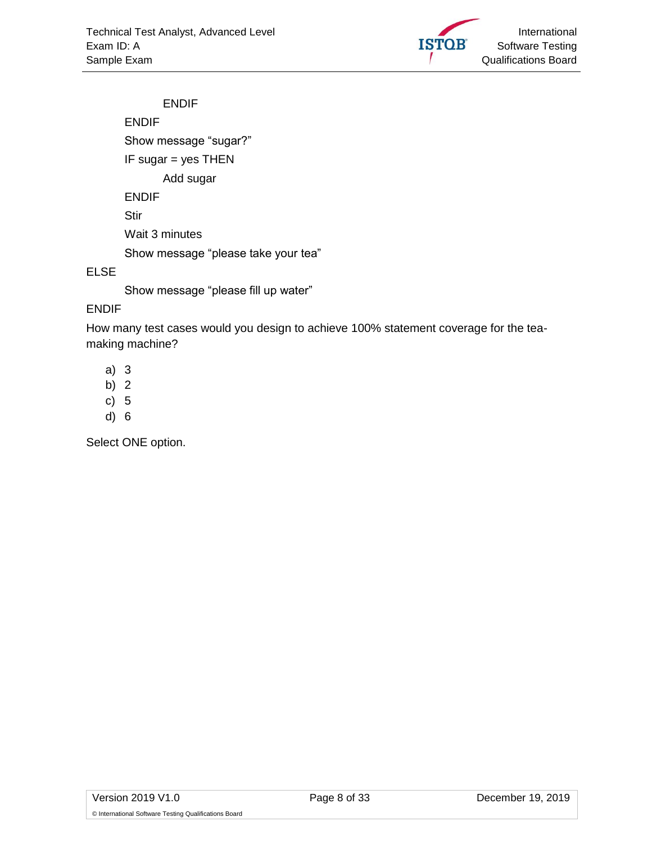

#### ENDIF

ENDIF

Show message "sugar?"

IF sugar = yes THEN

Add sugar

ENDIF

Stir Wait 3 minutes

Show message "please take your tea"

#### ELSE

Show message "please fill up water"

#### ENDIF

How many test cases would you design to achieve 100% statement coverage for the teamaking machine?

- a) 3
- b) 2
- c) 5
- d) 6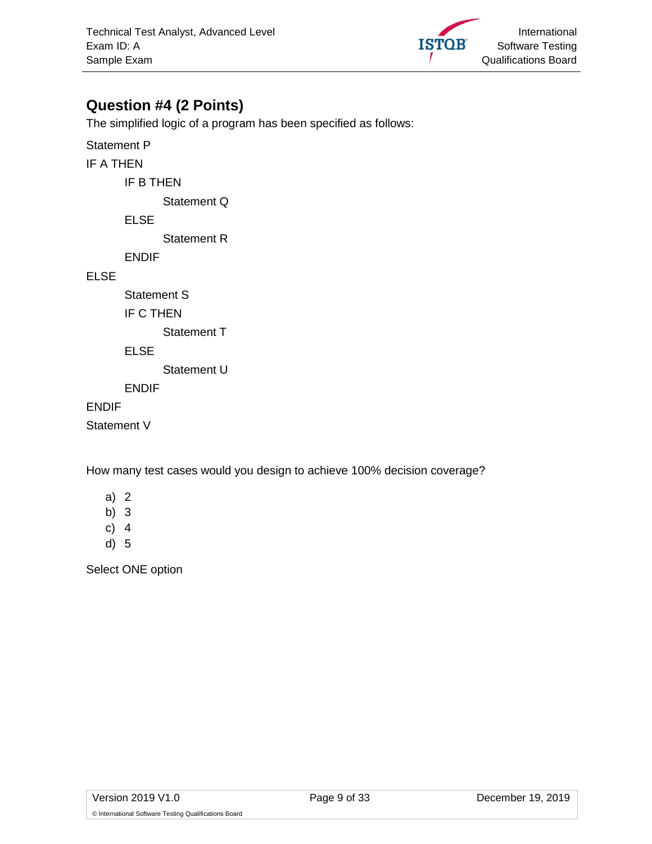

#### <span id="page-8-0"></span>**Question #4 (2 Points)**

The simplified logic of a program has been specified as follows:

Statement P

IF A THEN

IF B THEN

Statement Q

ELSE

Statement R

ENDIF

ELSE

Statement S

IF C THEN

Statement T

ELSE

Statement U

ENDIF

ENDIF

Statement V

How many test cases would you design to achieve 100% decision coverage?

- a) 2
- b) 3
- c) 4
- d) 5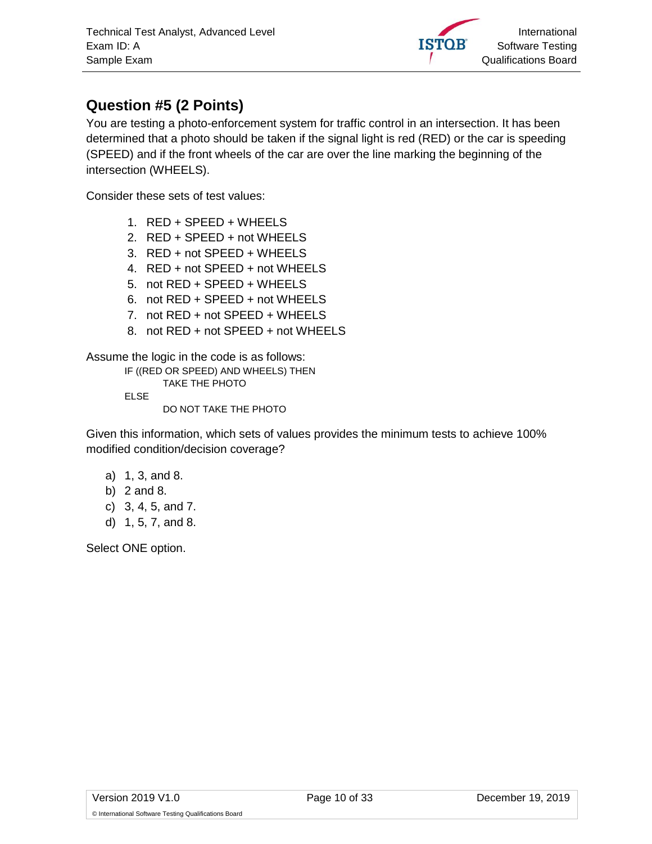

#### <span id="page-9-0"></span>**Question #5 (2 Points)**

You are testing a photo-enforcement system for traffic control in an intersection. It has been determined that a photo should be taken if the signal light is red (RED) or the car is speeding (SPEED) and if the front wheels of the car are over the line marking the beginning of the intersection (WHEELS).

Consider these sets of test values:

- 1. RED + SPEED + WHEELS
- 2. RED + SPEED + not WHEELS
- 3. RED + not SPEED + WHEELS
- 4. RED + not SPEED + not WHEELS
- 5. not RED + SPEED + WHEELS
- 6. not RED + SPEED + not WHEELS
- 7. not RED + not SPEED + WHEELS
- 8. not RED + not SPEED + not WHEELS

Assume the logic in the code is as follows:

IF ((RED OR SPEED) AND WHEELS) THEN TAKE THE PHOTO

ELSE

DO NOT TAKE THE PHOTO

Given this information, which sets of values provides the minimum tests to achieve 100% modified condition/decision coverage?

- a) 1, 3, and 8.
- b) 2 and 8.
- c) 3, 4, 5, and 7.
- d) 1, 5, 7, and 8.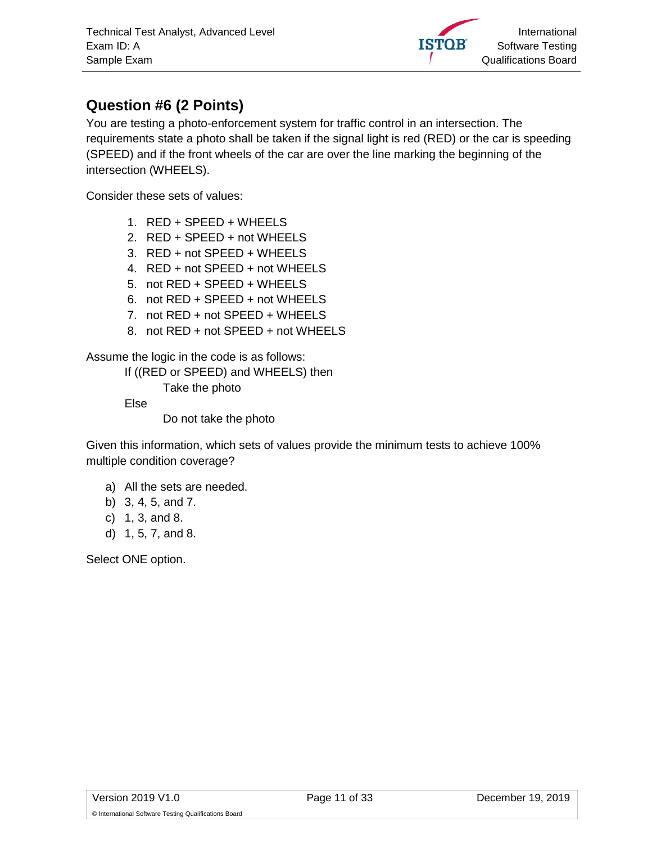

#### <span id="page-10-0"></span>**Question #6 (2 Points)**

You are testing a photo-enforcement system for traffic control in an intersection. The requirements state a photo shall be taken if the signal light is red (RED) or the car is speeding (SPEED) and if the front wheels of the car are over the line marking the beginning of the intersection (WHEELS).

Consider these sets of values:

- 1. RED + SPEED + WHEELS
- 2. RED + SPEED + not WHEELS
- 3. RED + not SPEED + WHEELS
- 4. RED + not SPEED + not WHEELS
- 5. not RED + SPEED + WHEELS
- 6. not RED + SPEED + not WHEELS
- 7. not RED + not SPEED + WHEELS
- 8. not RED + not SPEED + not WHEELS

Assume the logic in the code is as follows:

If ((RED or SPEED) and WHEELS) then

Take the photo

Else

Do not take the photo

Given this information, which sets of values provide the minimum tests to achieve 100% multiple condition coverage?

- a) All the sets are needed.
- b) 3, 4, 5, and 7.
- c) 1, 3, and 8.
- d) 1, 5, 7, and 8.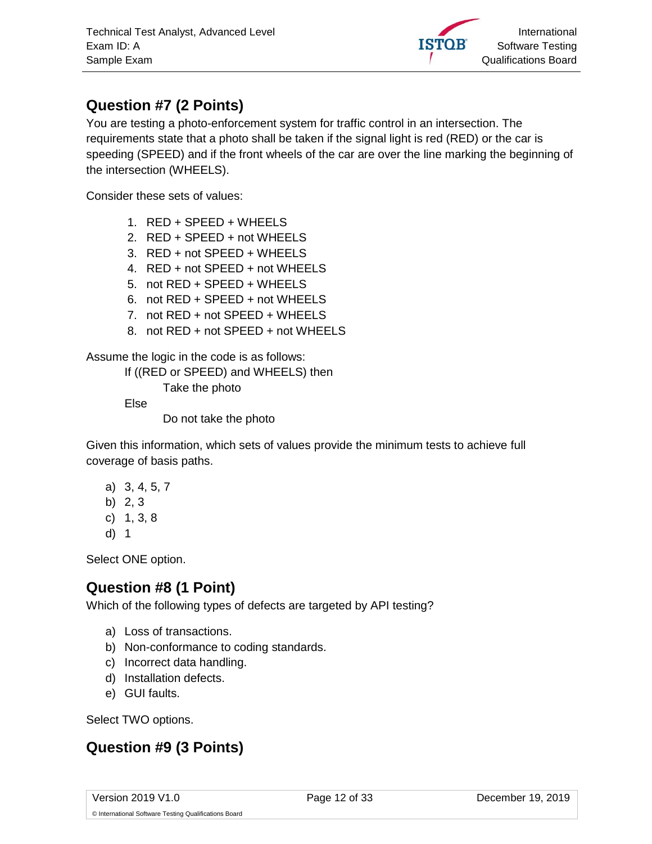

## <span id="page-11-0"></span>**Question #7 (2 Points)**

You are testing a photo-enforcement system for traffic control in an intersection. The requirements state that a photo shall be taken if the signal light is red (RED) or the car is speeding (SPEED) and if the front wheels of the car are over the line marking the beginning of the intersection (WHEELS).

Consider these sets of values:

- 1. RED + SPEED + WHEELS
- 2. RED + SPEED + not WHEELS
- 3. RED + not SPEED + WHEELS
- 4. RED + not SPEED + not WHEELS
- 5. not RED + SPEED + WHEELS
- 6. not RED + SPEED + not WHEELS
- 7. not RED + not SPEED + WHEELS
- 8. not RED + not SPEED + not WHEELS

Assume the logic in the code is as follows:

If ((RED or SPEED) and WHEELS) then

Take the photo

Else

Do not take the photo

Given this information, which sets of values provide the minimum tests to achieve full coverage of basis paths.

- a) 3, 4, 5, 7
- b) 2, 3
- c) 1, 3, 8
- d) 1

Select ONE option.

#### <span id="page-11-1"></span>**Question #8 (1 Point)**

Which of the following types of defects are targeted by API testing?

- a) Loss of transactions.
- b) Non-conformance to coding standards.
- c) Incorrect data handling.
- d) Installation defects.
- e) GUI faults.

Select TWO options.

#### <span id="page-11-2"></span>**Question #9 (3 Points)**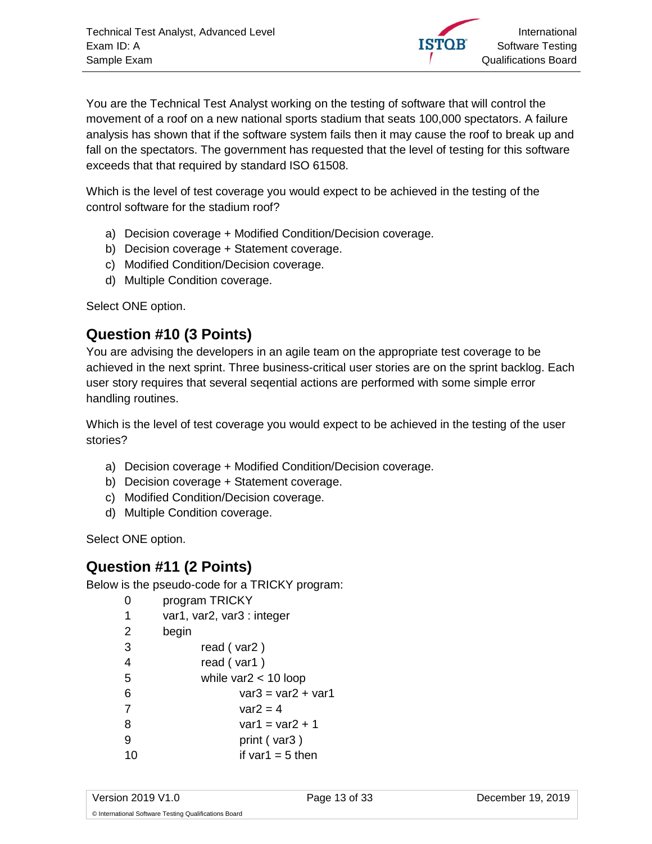

You are the Technical Test Analyst working on the testing of software that will control the movement of a roof on a new national sports stadium that seats 100,000 spectators. A failure analysis has shown that if the software system fails then it may cause the roof to break up and fall on the spectators. The government has requested that the level of testing for this software exceeds that that required by standard ISO 61508.

Which is the level of test coverage you would expect to be achieved in the testing of the control software for the stadium roof?

- a) Decision coverage + Modified Condition/Decision coverage.
- b) Decision coverage + Statement coverage.
- c) Modified Condition/Decision coverage.
- d) Multiple Condition coverage.

Select ONE option.

#### <span id="page-12-0"></span>**Question #10 (3 Points)**

You are advising the developers in an agile team on the appropriate test coverage to be achieved in the next sprint. Three business-critical user stories are on the sprint backlog. Each user story requires that several seqential actions are performed with some simple error handling routines.

Which is the level of test coverage you would expect to be achieved in the testing of the user stories?

- a) Decision coverage + Modified Condition/Decision coverage.
- b) Decision coverage + Statement coverage.
- c) Modified Condition/Decision coverage.
- d) Multiple Condition coverage.

Select ONE option.

#### <span id="page-12-1"></span>**Question #11 (2 Points)**

Below is the pseudo-code for a TRICKY program:

|                | program TRICKY                            |
|----------------|-------------------------------------------|
| 1              | var1, var2, var3 : integer                |
| 2              | begin                                     |
| 3              | read (var2)                               |
| 4              | read (var1)                               |
| 5              | while var $2 < 10$ loop                   |
| 6              | $\text{var3} = \text{var2} + \text{var1}$ |
| $\overline{7}$ | var $2 = 4$                               |
| 8              | var1 = var2 + 1                           |
| 9              | print (var3)                              |
| 10             | if var1 = 5 then                          |
|                |                                           |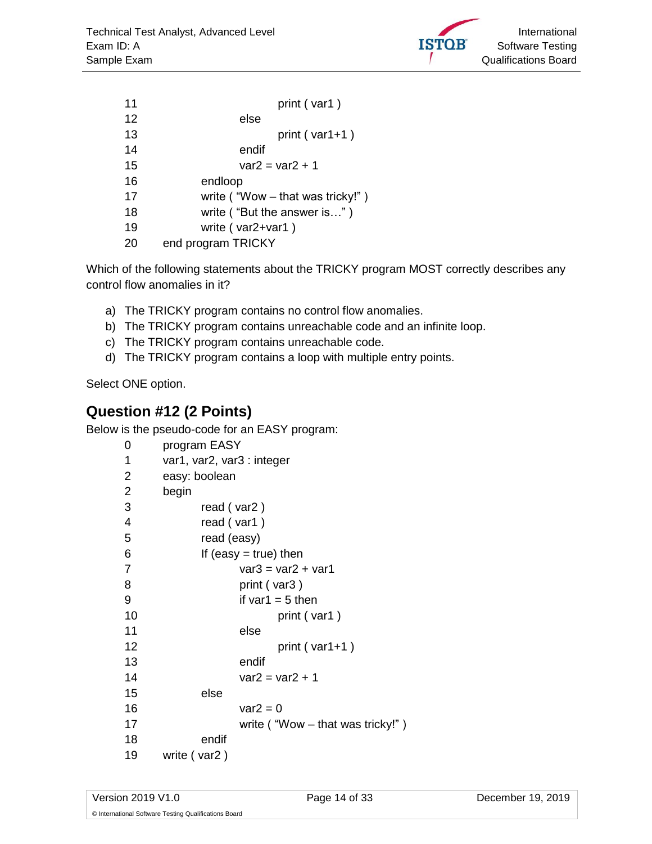

| 11 | print (var1)                     |
|----|----------------------------------|
| 12 | else                             |
| 13 | print ( $var1+1$ )               |
| 14 | endif                            |
| 15 | $var2 = var2 + 1$                |
| 16 | endloop                          |
| 17 | write ("Wow – that was tricky!") |
| 18 | write ("But the answer is")      |
| 19 | write (var2+var1)                |
| 20 | end program TRICKY               |

Which of the following statements about the TRICKY program MOST correctly describes any control flow anomalies in it?

- a) The TRICKY program contains no control flow anomalies.
- b) The TRICKY program contains unreachable code and an infinite loop.
- c) The TRICKY program contains unreachable code.
- d) The TRICKY program contains a loop with multiple entry points.

Select ONE option.

#### <span id="page-13-0"></span>**Question #12 (2 Points)**

Below is the pseudo-code for an EASY program:

| 0              | program EASY                       |
|----------------|------------------------------------|
| 1              | var1, var2, var3 : integer         |
| $\overline{2}$ | easy: boolean                      |
| $\overline{2}$ | begin                              |
| 3              | read (var2)                        |
| $\overline{4}$ | read (var1)                        |
| 5              | read (easy)                        |
| 6              | If (easy $=$ true) then            |
| 7              | $var3 = var2 + var1$               |
| 8              | print (var3)                       |
| 9              | if var1 = $5$ then                 |
| 10             | print (var1)                       |
| 11             | else                               |
| 12             | print ( $var1+1$ )                 |
| 13             | endif                              |
| 14             | $var2 = var2 + 1$                  |
| 15             | else                               |
| 16             | $var2 = 0$                         |
| 17             | write ("Wow $-$ that was tricky!") |
| 18             | endif                              |
| 19             | write (var2)                       |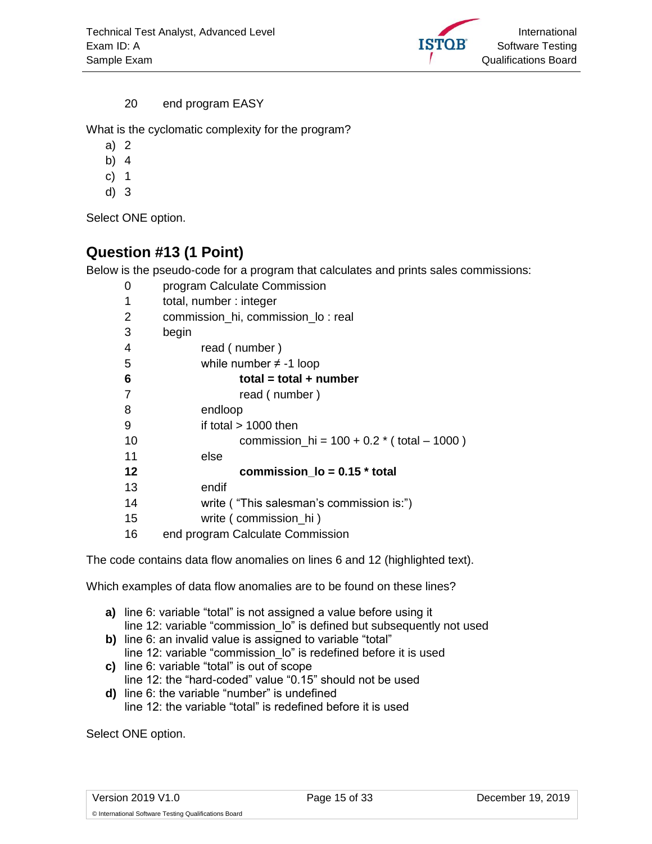

20 end program EASY

What is the cyclomatic complexity for the program?

- a) 2
- b) 4
- c) 1
- d) 3

Select ONE option.

#### <span id="page-14-0"></span>**Question #13 (1 Point)**

Below is the pseudo-code for a program that calculates and prints sales commissions:

| $\mathbf 0$ | program Calculate Commission                 |
|-------------|----------------------------------------------|
| 1           | total, number: integer                       |
| 2           | commission_hi, commission_lo: real           |
| 3           | begin                                        |
| 4           | read (number)                                |
| 5           | while number $\neq$ -1 loop                  |
| 6           | total = total + number                       |
| 7           | read (number)                                |
| 8           | endloop                                      |
| 9           | if total $> 1000$ then                       |
| 10          | commission_hi = $100 + 0.2$ * (total - 1000) |
| 11          | else                                         |
| 12          | commission_lo = $0.15$ * total               |
| 13          | endif                                        |
| 14          | write ("This salesman's commission is:")     |
| 15          | write (commission_hi)                        |
| 16          | end program Calculate Commission             |
|             |                                              |

The code contains data flow anomalies on lines 6 and 12 (highlighted text).

Which examples of data flow anomalies are to be found on these lines?

- **a)** line 6: variable "total" is not assigned a value before using it line 12: variable "commission lo" is defined but subsequently not used
- **b)** line 6: an invalid value is assigned to variable "total" line 12: variable "commission\_lo" is redefined before it is used
- **c)** line 6: variable "total" is out of scope line 12: the "hard-coded" value "0.15" should not be used
- **d)** line 6: the variable "number" is undefined line 12: the variable "total" is redefined before it is used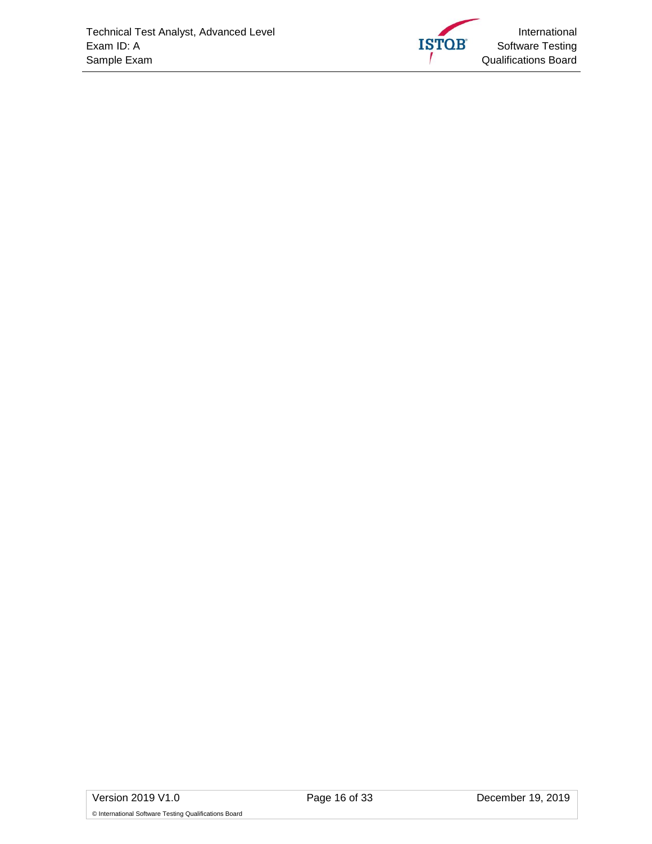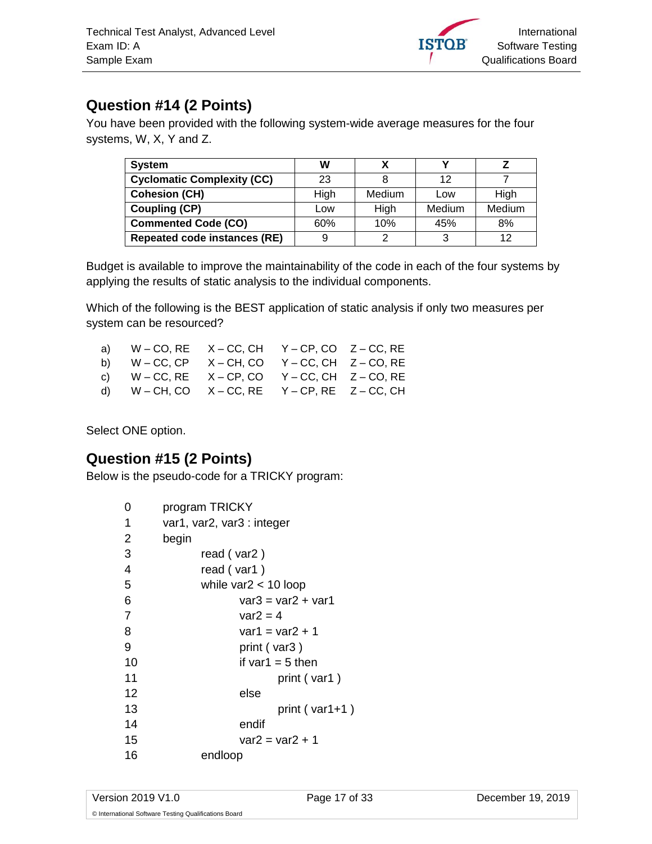

#### <span id="page-16-0"></span>**Question #14 (2 Points)**

You have been provided with the following system-wide average measures for the four systems, W, X, Y and Z.

| <b>System</b>                       | W    |               |        |               |
|-------------------------------------|------|---------------|--------|---------------|
| <b>Cyclomatic Complexity (CC)</b>   | 23   |               | 12     |               |
| <b>Cohesion (CH)</b>                | High | <b>Medium</b> | Low    | High          |
| <b>Coupling (CP)</b>                | Low  | High          | Medium | <b>Medium</b> |
| <b>Commented Code (CO)</b>          | 60%  | 10%           | 45%    | 8%            |
| <b>Repeated code instances (RE)</b> |      |               |        | ィク            |

Budget is available to improve the maintainability of the code in each of the four systems by applying the results of static analysis to the individual components.

Which of the following is the BEST application of static analysis if only two measures per system can be resourced?

| a) $W - CO$ , RE $X - CC$ , CH $Y - CP$ , CO $Z - CC$ , RE         |  |  |
|--------------------------------------------------------------------|--|--|
| b) $W - CC$ , $CP$ $X - CH$ , $CO$ $Y - CC$ , $CH$ $Z - CO$ , $RE$ |  |  |
| c) $W - CC$ , $RE$ $X - CP$ , $CO$ $Y - CC$ , $CH$ $Z - CO$ , $RE$ |  |  |
| d) $W - CH$ , CO $X - CC$ , RE $Y - CP$ , RE $Z - CC$ , CH         |  |  |

Select ONE option.

#### <span id="page-16-1"></span>**Question #15 (2 Points)**

Below is the pseudo-code for a TRICKY program:

| O              | program TRICKY                            |
|----------------|-------------------------------------------|
| 1              | var1, var2, var3 : integer                |
| 2              | begin                                     |
| 3              | read (var2)                               |
| $\overline{4}$ | read (var1)                               |
| 5              | while var $2 < 10$ loop                   |
| 6              | $\text{var3} = \text{var2} + \text{var1}$ |
| $\overline{7}$ | var $2 = 4$                               |
| 8              | var1 = var2 + 1                           |
| 9              | print (var3)                              |
| 10             | if var1 = $5$ then                        |
| 11             | print (var1)                              |
| 12             | else                                      |
| 13             | print ( $var1+1$ )                        |
| 14             | endif                                     |
| 15             | var $2 = \text{var}2 + 1$                 |
| 16             | endloop                                   |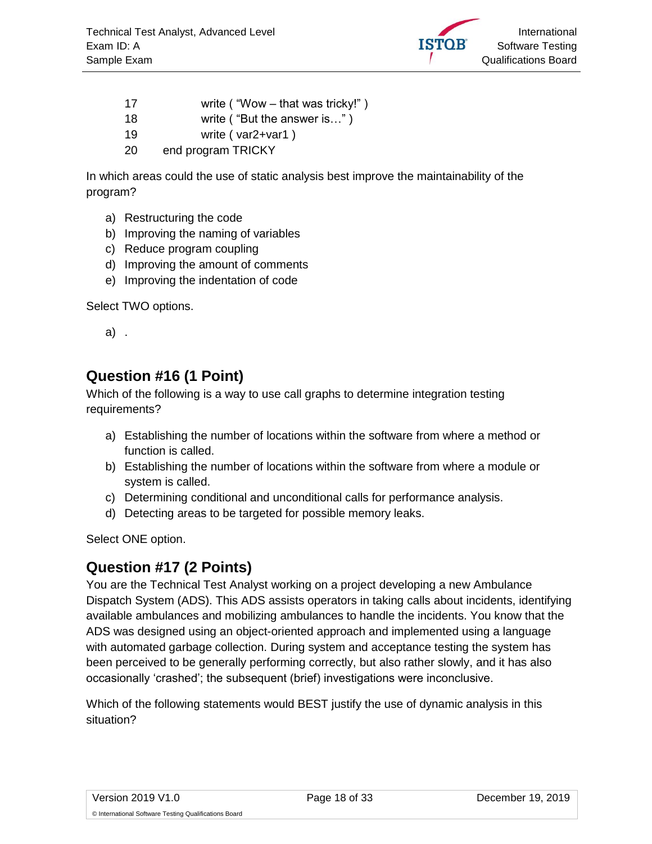

- 17 write ( "Wow that was tricky!" )
- 18 write ( "But the answer is..." )
- 19 write (var2+var1)
- 20 end program TRICKY

In which areas could the use of static analysis best improve the maintainability of the program?

- a) Restructuring the code
- b) Improving the naming of variables
- c) Reduce program coupling
- d) Improving the amount of comments
- e) Improving the indentation of code

Select TWO options.

a) .

#### <span id="page-17-0"></span>**Question #16 (1 Point)**

Which of the following is a way to use call graphs to determine integration testing requirements?

- a) Establishing the number of locations within the software from where a method or function is called.
- b) Establishing the number of locations within the software from where a module or system is called.
- c) Determining conditional and unconditional calls for performance analysis.
- d) Detecting areas to be targeted for possible memory leaks.

Select ONE option.

## <span id="page-17-1"></span>**Question #17 (2 Points)**

You are the Technical Test Analyst working on a project developing a new Ambulance Dispatch System (ADS). This ADS assists operators in taking calls about incidents, identifying available ambulances and mobilizing ambulances to handle the incidents. You know that the ADS was designed using an object-oriented approach and implemented using a language with automated garbage collection. During system and acceptance testing the system has been perceived to be generally performing correctly, but also rather slowly, and it has also occasionally 'crashed'; the subsequent (brief) investigations were inconclusive.

Which of the following statements would BEST justify the use of dynamic analysis in this situation?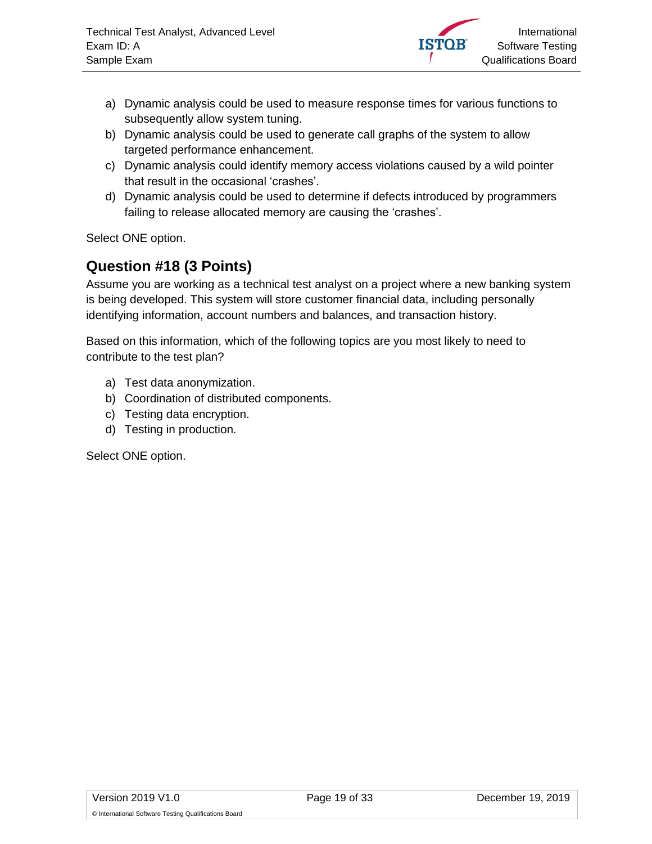

- a) Dynamic analysis could be used to measure response times for various functions to subsequently allow system tuning.
- b) Dynamic analysis could be used to generate call graphs of the system to allow targeted performance enhancement.
- c) Dynamic analysis could identify memory access violations caused by a wild pointer that result in the occasional 'crashes'.
- d) Dynamic analysis could be used to determine if defects introduced by programmers failing to release allocated memory are causing the 'crashes'.

Select ONE option.

#### <span id="page-18-0"></span>**Question #18 (3 Points)**

Assume you are working as a technical test analyst on a project where a new banking system is being developed. This system will store customer financial data, including personally identifying information, account numbers and balances, and transaction history.

Based on this information, which of the following topics are you most likely to need to contribute to the test plan?

- a) Test data anonymization.
- b) Coordination of distributed components.
- c) Testing data encryption.
- d) Testing in production.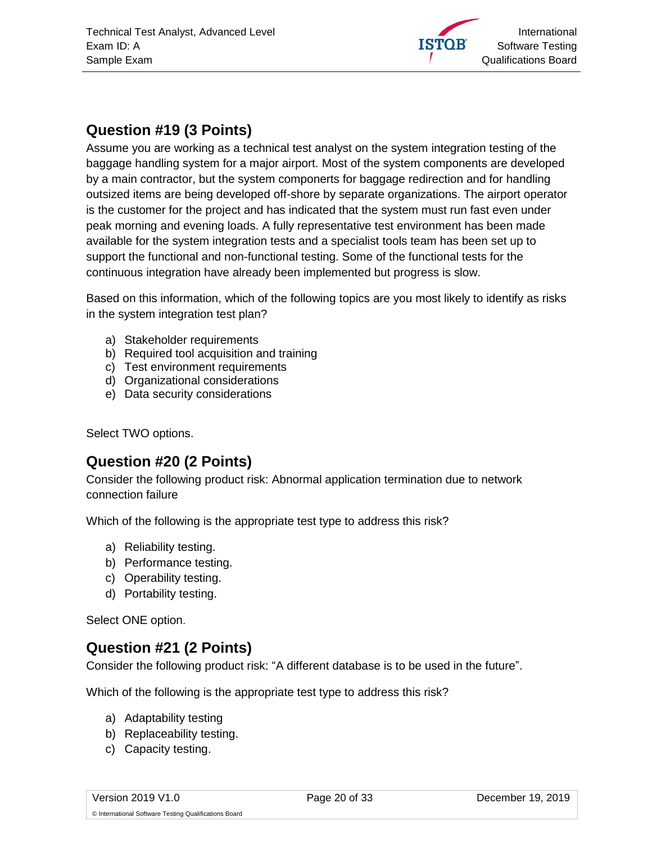

#### <span id="page-19-0"></span>**Question #19 (3 Points)**

Assume you are working as a technical test analyst on the system integration testing of the baggage handling system for a major airport. Most of the system components are developed by a main contractor, but the system componerts for baggage redirection and for handling outsized items are being developed off-shore by separate organizations. The airport operator is the customer for the project and has indicated that the system must run fast even under peak morning and evening loads. A fully representative test environment has been made available for the system integration tests and a specialist tools team has been set up to support the functional and non-functional testing. Some of the functional tests for the continuous integration have already been implemented but progress is slow.

Based on this information, which of the following topics are you most likely to identify as risks in the system integration test plan?

- a) Stakeholder requirements
- b) Required tool acquisition and training
- c) Test environment requirements
- d) Organizational considerations
- e) Data security considerations

Select TWO options.

#### <span id="page-19-1"></span>**Question #20 (2 Points)**

Consider the following product risk: Abnormal application termination due to network connection failure

Which of the following is the appropriate test type to address this risk?

- a) Reliability testing.
- b) Performance testing.
- c) Operability testing.
- d) Portability testing.

Select ONE option.

#### <span id="page-19-2"></span>**Question #21 (2 Points)**

Consider the following product risk: "A different database is to be used in the future".

Which of the following is the appropriate test type to address this risk?

- a) Adaptability testing
- b) Replaceability testing.
- c) Capacity testing.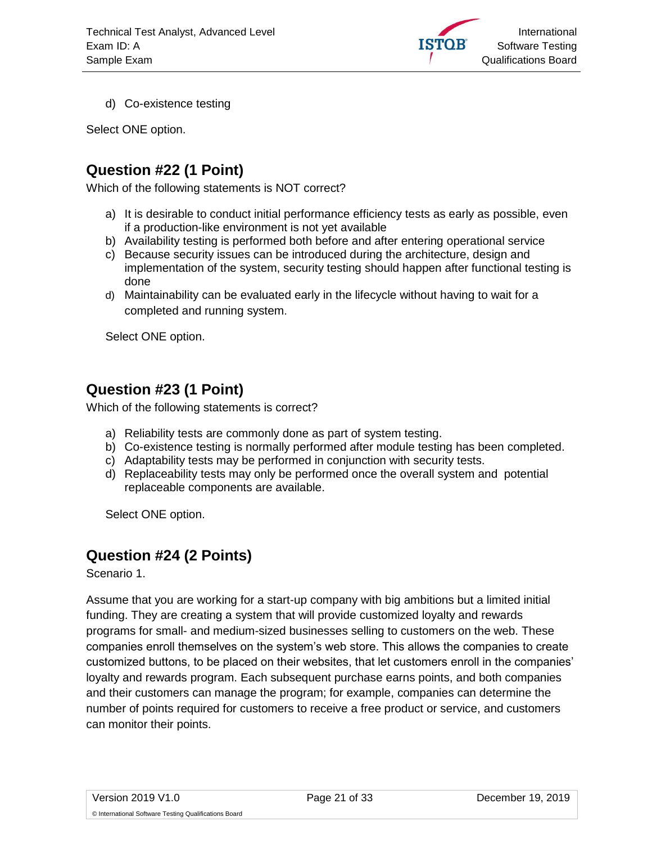

d) Co-existence testing

Select ONE option.

#### <span id="page-20-0"></span>**Question #22 (1 Point)**

Which of the following statements is NOT correct?

- a) It is desirable to conduct initial performance efficiency tests as early as possible, even if a production-like environment is not yet available
- b) Availability testing is performed both before and after entering operational service
- c) Because security issues can be introduced during the architecture, design and implementation of the system, security testing should happen after functional testing is done
- d) Maintainability can be evaluated early in the lifecycle without having to wait for a completed and running system.

Select ONE option.

#### <span id="page-20-1"></span>**Question #23 (1 Point)**

Which of the following statements is correct?

- a) Reliability tests are commonly done as part of system testing.
- b) Co-existence testing is normally performed after module testing has been completed.
- c) Adaptability tests may be performed in conjunction with security tests.
- d) Replaceability tests may only be performed once the overall system and potential replaceable components are available.

Select ONE option.

#### <span id="page-20-2"></span>**Question #24 (2 Points)**

Scenario 1.

Assume that you are working for a start-up company with big ambitions but a limited initial funding. They are creating a system that will provide customized loyalty and rewards programs for small- and medium-sized businesses selling to customers on the web. These companies enroll themselves on the system's web store. This allows the companies to create customized buttons, to be placed on their websites, that let customers enroll in the companies' loyalty and rewards program. Each subsequent purchase earns points, and both companies and their customers can manage the program; for example, companies can determine the number of points required for customers to receive a free product or service, and customers can monitor their points.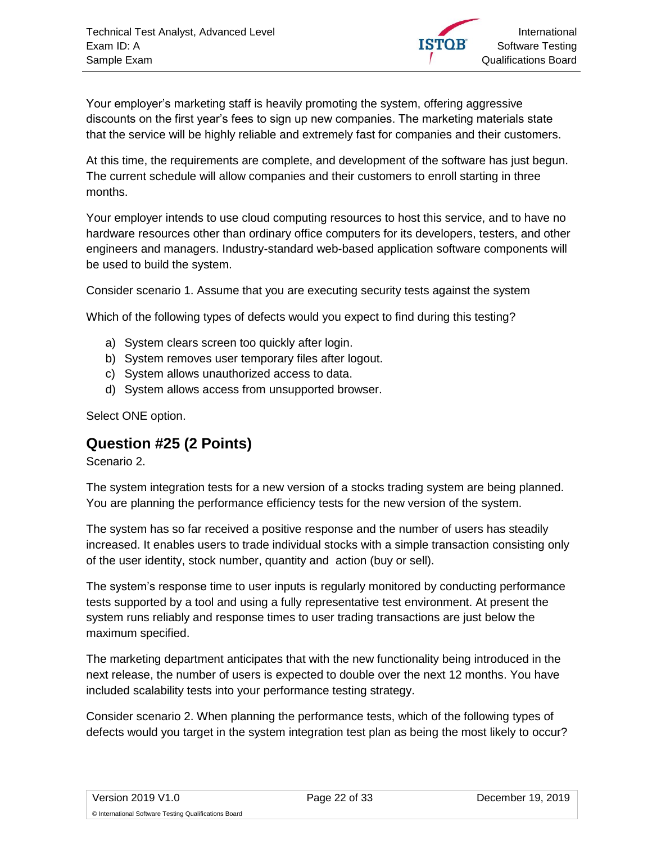

Your employer's marketing staff is heavily promoting the system, offering aggressive discounts on the first year's fees to sign up new companies. The marketing materials state that the service will be highly reliable and extremely fast for companies and their customers.

At this time, the requirements are complete, and development of the software has just begun. The current schedule will allow companies and their customers to enroll starting in three months.

Your employer intends to use cloud computing resources to host this service, and to have no hardware resources other than ordinary office computers for its developers, testers, and other engineers and managers. Industry-standard web-based application software components will be used to build the system.

Consider scenario 1. Assume that you are executing security tests against the system

Which of the following types of defects would you expect to find during this testing?

- a) System clears screen too quickly after login.
- b) System removes user temporary files after logout.
- c) System allows unauthorized access to data.
- d) System allows access from unsupported browser.

Select ONE option.

#### <span id="page-21-0"></span>**Question #25 (2 Points)**

Scenario 2.

The system integration tests for a new version of a stocks trading system are being planned. You are planning the performance efficiency tests for the new version of the system.

The system has so far received a positive response and the number of users has steadily increased. It enables users to trade individual stocks with a simple transaction consisting only of the user identity, stock number, quantity and action (buy or sell).

The system's response time to user inputs is regularly monitored by conducting performance tests supported by a tool and using a fully representative test environment. At present the system runs reliably and response times to user trading transactions are just below the maximum specified.

The marketing department anticipates that with the new functionality being introduced in the next release, the number of users is expected to double over the next 12 months. You have included scalability tests into your performance testing strategy.

Consider scenario 2. When planning the performance tests, which of the following types of defects would you target in the system integration test plan as being the most likely to occur?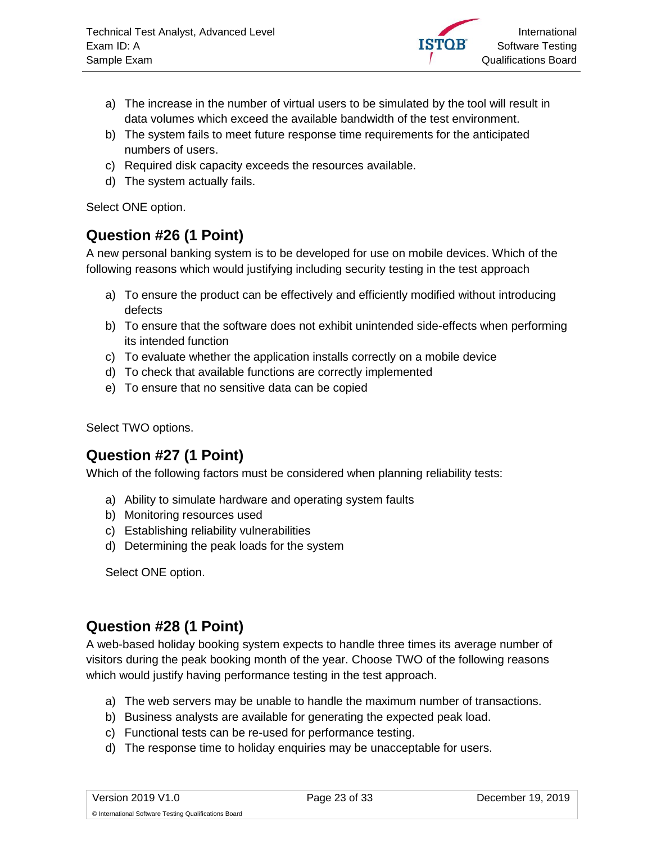

- a) The increase in the number of virtual users to be simulated by the tool will result in data volumes which exceed the available bandwidth of the test environment.
- b) The system fails to meet future response time requirements for the anticipated numbers of users.
- c) Required disk capacity exceeds the resources available.
- d) The system actually fails.

Select ONE option.

#### <span id="page-22-0"></span>**Question #26 (1 Point)**

A new personal banking system is to be developed for use on mobile devices. Which of the following reasons which would justifying including security testing in the test approach

- a) To ensure the product can be effectively and efficiently modified without introducing defects
- b) To ensure that the software does not exhibit unintended side-effects when performing its intended function
- c) To evaluate whether the application installs correctly on a mobile device
- d) To check that available functions are correctly implemented
- e) To ensure that no sensitive data can be copied

Select TWO options.

#### <span id="page-22-1"></span>**Question #27 (1 Point)**

Which of the following factors must be considered when planning reliability tests:

- a) Ability to simulate hardware and operating system faults
- b) Monitoring resources used
- c) Establishing reliability vulnerabilities
- d) Determining the peak loads for the system

Select ONE option.

#### <span id="page-22-2"></span>**Question #28 (1 Point)**

A web-based holiday booking system expects to handle three times its average number of visitors during the peak booking month of the year. Choose TWO of the following reasons which would justify having performance testing in the test approach.

- a) The web servers may be unable to handle the maximum number of transactions.
- b) Business analysts are available for generating the expected peak load.
- c) Functional tests can be re-used for performance testing.
- d) The response time to holiday enquiries may be unacceptable for users.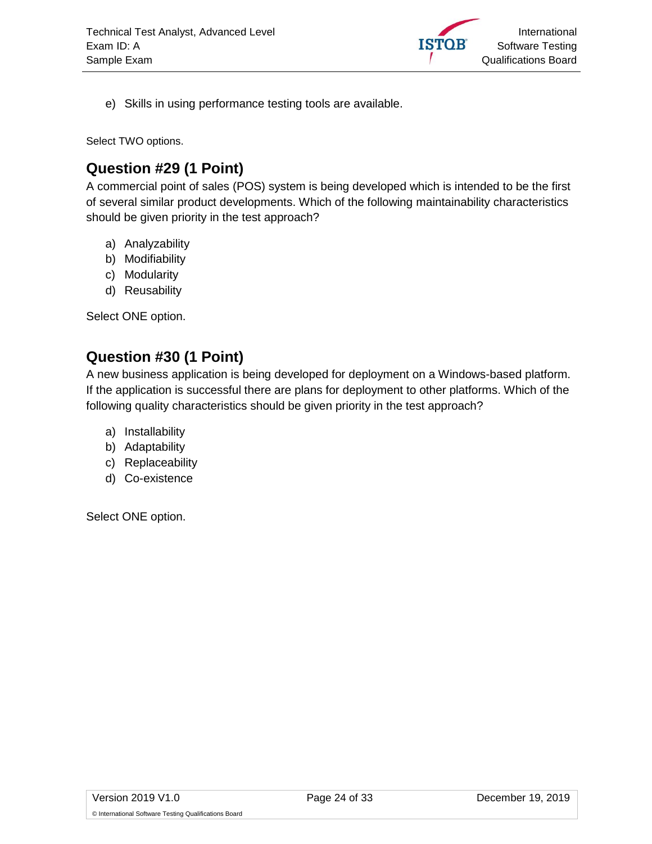

e) Skills in using performance testing tools are available.

Select TWO options.

#### <span id="page-23-0"></span>**Question #29 (1 Point)**

A commercial point of sales (POS) system is being developed which is intended to be the first of several similar product developments. Which of the following maintainability characteristics should be given priority in the test approach?

- a) Analyzability
- b) Modifiability
- c) Modularity
- d) Reusability

Select ONE option.

#### <span id="page-23-1"></span>**Question #30 (1 Point)**

A new business application is being developed for deployment on a Windows-based platform. If the application is successful there are plans for deployment to other platforms. Which of the following quality characteristics should be given priority in the test approach?

- a) Installability
- b) Adaptability
- c) Replaceability
- d) Co-existence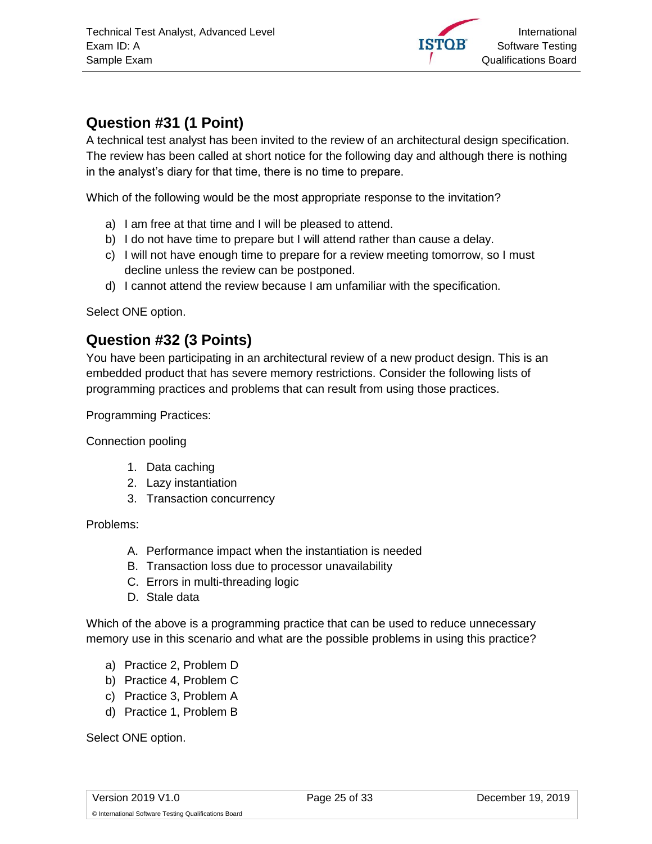

#### <span id="page-24-2"></span><span id="page-24-0"></span>**Question #31 (1 Point)**

A technical test analyst has been invited to the review of an architectural design specification. The review has been called at short notice for the following day and although there is nothing in the analyst's diary for that time, there is no time to prepare.

Which of the following would be the most appropriate response to the invitation?

- a) I am free at that time and I will be pleased to attend.
- b) I do not have time to prepare but I will attend rather than cause a delay.
- c) I will not have enough time to prepare for a review meeting tomorrow, so I must decline unless the review can be postponed.
- d) I cannot attend the review because I am unfamiliar with the specification.

Select ONE option.

#### <span id="page-24-1"></span>**Question #32 (3 Points)**

You have been participating in an architectural review of a new product design. This is an embedded product that has severe memory restrictions. Consider the following lists of programming practices and problems that can result from using those practices.

Programming Practices:

Connection pooling

- 1. Data caching
- 2. Lazy instantiation
- 3. Transaction concurrency

Problems:

- A. Performance impact when the instantiation is needed
- B. Transaction loss due to processor unavailability
- C. Errors in multi-threading logic
- D. Stale data

Which of the above is a programming practice that can be used to reduce unnecessary memory use in this scenario and what are the possible problems in using this practice?

- a) Practice 2, Problem D
- b) Practice 4, Problem C
- c) Practice 3, Problem A
- d) Practice 1, Problem B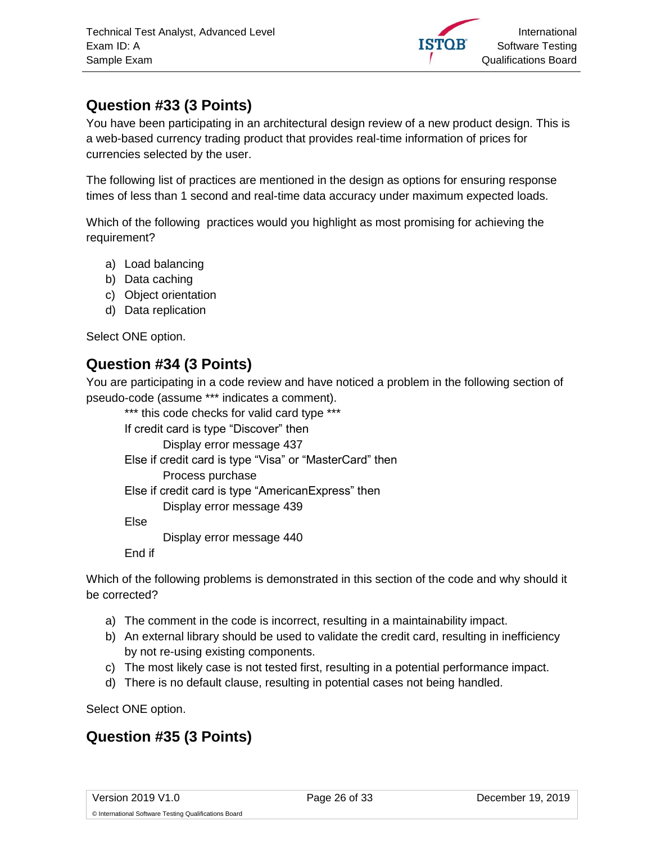

## **Question #33 (3 Points)**

You have been participating in an architectural design review of a new product design. This is a web-based currency trading product that provides real-time information of prices for currencies selected by the user.

The following list of practices are mentioned in the design as options for ensuring response times of less than 1 second and real-time data accuracy under maximum expected loads.

Which of the following practices would you highlight as most promising for achieving the requirement?

- a) Load balancing
- b) Data caching
- c) Object orientation
- d) Data replication

Select ONE option.

#### <span id="page-25-0"></span>**Question #34 (3 Points)**

You are participating in a code review and have noticed a problem in the following section of pseudo-code (assume \*\*\* indicates a comment).

\*\*\* this code checks for valid card type \*\*\* If credit card is type "Discover" then Display error message 437 Else if credit card is type "Visa" or "MasterCard" then Process purchase Else if credit card is type "AmericanExpress" then Display error message 439

Else

Display error message 440

End if

Which of the following problems is demonstrated in this section of the code and why should it be corrected?

- a) The comment in the code is incorrect, resulting in a maintainability impact.
- b) An external library should be used to validate the credit card, resulting in inefficiency by not re-using existing components.
- c) The most likely case is not tested first, resulting in a potential performance impact.
- d) There is no default clause, resulting in potential cases not being handled.

Select ONE option.

#### <span id="page-25-1"></span>**Question #35 (3 Points)**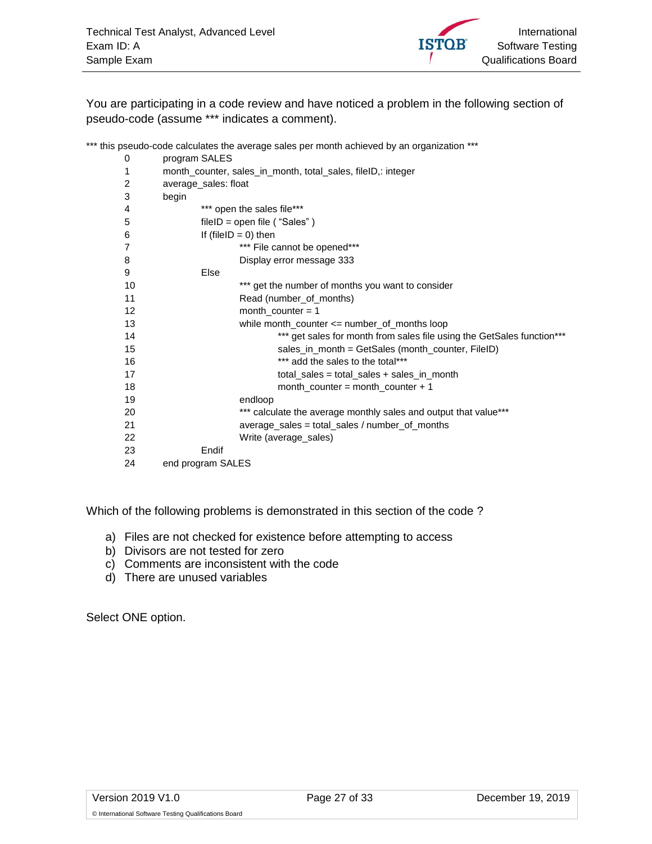

You are participating in a code review and have noticed a problem in the following section of pseudo-code (assume \*\*\* indicates a comment).

\*\*\* this pseudo-code calculates the average sales per month achieved by an organization \*\*\*

| 0  | program SALES                                                          |  |  |  |
|----|------------------------------------------------------------------------|--|--|--|
| 1  | month_counter, sales_in_month, total_sales, fileID,: integer           |  |  |  |
| 2  | average_sales: float                                                   |  |  |  |
| 3  | begin                                                                  |  |  |  |
| 4  | *** open the sales file***                                             |  |  |  |
| 5  | fileID = open file $($ "Sales" $)$                                     |  |  |  |
| 6  | If (fileID = 0) then                                                   |  |  |  |
| 7  | *** File cannot be opened***                                           |  |  |  |
| 8  | Display error message 333                                              |  |  |  |
| 9  | Else                                                                   |  |  |  |
| 10 | *** get the number of months you want to consider                      |  |  |  |
| 11 | Read (number_of_months)                                                |  |  |  |
| 12 | month counter $= 1$                                                    |  |  |  |
| 13 | while month counter $\leq$ number of months loop                       |  |  |  |
| 14 | *** get sales for month from sales file using the GetSales function*** |  |  |  |
| 15 | sales_in_month = GetSales (month_counter, FileID)                      |  |  |  |
| 16 | *** add the sales to the total***                                      |  |  |  |
| 17 | total sales = total sales + sales in month                             |  |  |  |
| 18 | month counter = month counter + 1                                      |  |  |  |
| 19 | endloop                                                                |  |  |  |
| 20 | *** calculate the average monthly sales and output that value***       |  |  |  |
| 21 | $average\_sales = total\_sales / number_of\_months$                    |  |  |  |
| 22 | Write (average_sales)                                                  |  |  |  |
| 23 | Endif                                                                  |  |  |  |
| 24 | end program SALES                                                      |  |  |  |
|    |                                                                        |  |  |  |

Which of the following problems is demonstrated in this section of the code ?

- a) Files are not checked for existence before attempting to access
- b) Divisors are not tested for zero
- c) Comments are inconsistent with the code
- d) There are unused variables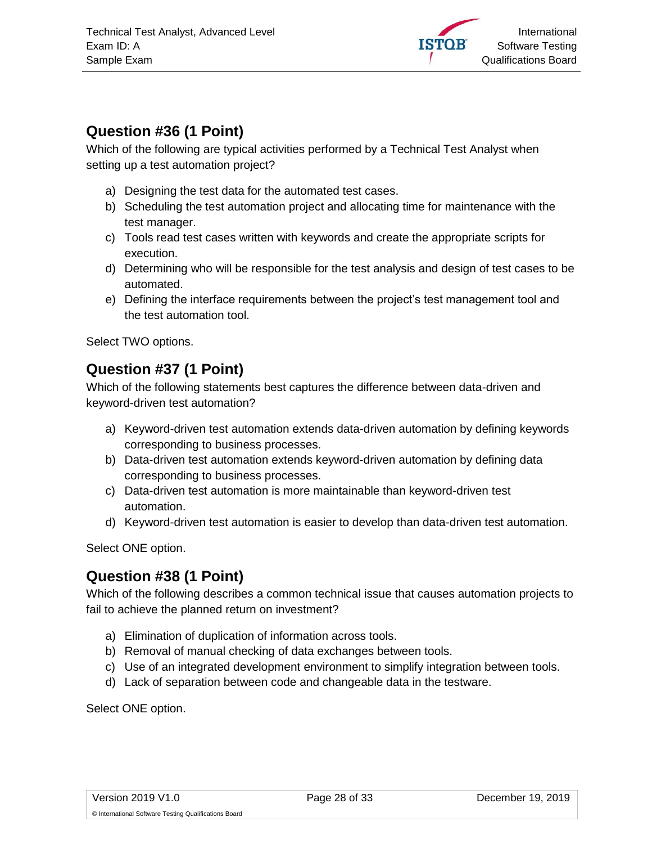

#### <span id="page-27-0"></span>**Question #36 (1 Point)**

Which of the following are typical activities performed by a Technical Test Analyst when setting up a test automation project?

- a) Designing the test data for the automated test cases.
- b) Scheduling the test automation project and allocating time for maintenance with the test manager.
- c) Tools read test cases written with keywords and create the appropriate scripts for execution.
- d) Determining who will be responsible for the test analysis and design of test cases to be automated.
- e) Defining the interface requirements between the project's test management tool and the test automation tool.

Select TWO options.

#### <span id="page-27-1"></span>**Question #37 (1 Point)**

Which of the following statements best captures the difference between data-driven and keyword-driven test automation?

- a) Keyword-driven test automation extends data-driven automation by defining keywords corresponding to business processes.
- b) Data-driven test automation extends keyword-driven automation by defining data corresponding to business processes.
- c) Data-driven test automation is more maintainable than keyword-driven test automation.
- d) Keyword-driven test automation is easier to develop than data-driven test automation.

Select ONE option.

#### <span id="page-27-2"></span>**Question #38 (1 Point)**

Which of the following describes a common technical issue that causes automation projects to fail to achieve the planned return on investment?

- a) Elimination of duplication of information across tools.
- b) Removal of manual checking of data exchanges between tools.
- c) Use of an integrated development environment to simplify integration between tools.
- d) Lack of separation between code and changeable data in the testware.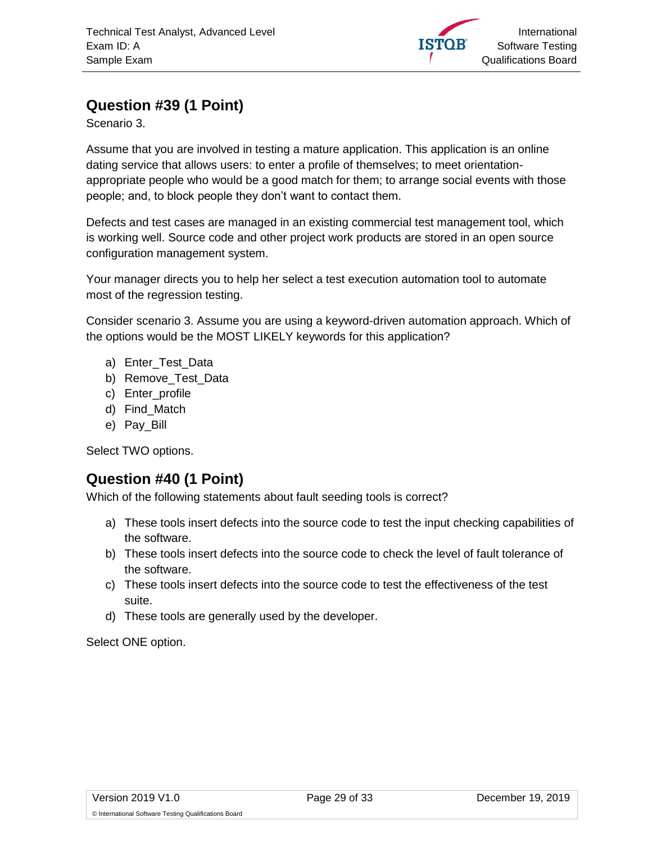

## <span id="page-28-0"></span>**Question #39 (1 Point)**

Scenario 3.

Assume that you are involved in testing a mature application. This application is an online dating service that allows users: to enter a profile of themselves; to meet orientationappropriate people who would be a good match for them; to arrange social events with those people; and, to block people they don't want to contact them.

Defects and test cases are managed in an existing commercial test management tool, which is working well. Source code and other project work products are stored in an open source configuration management system.

Your manager directs you to help her select a test execution automation tool to automate most of the regression testing.

Consider scenario 3. Assume you are using a keyword-driven automation approach. Which of the options would be the MOST LIKELY keywords for this application?

- a) Enter Test Data
- b) Remove\_Test\_Data
- c) Enter\_profile
- d) Find\_Match
- e) Pay\_Bill

Select TWO options.

#### <span id="page-28-1"></span>**Question #40 (1 Point)**

Which of the following statements about fault seeding tools is correct?

- a) These tools insert defects into the source code to test the input checking capabilities of the software.
- b) These tools insert defects into the source code to check the level of fault tolerance of the software.
- c) These tools insert defects into the source code to test the effectiveness of the test suite.
- d) These tools are generally used by the developer.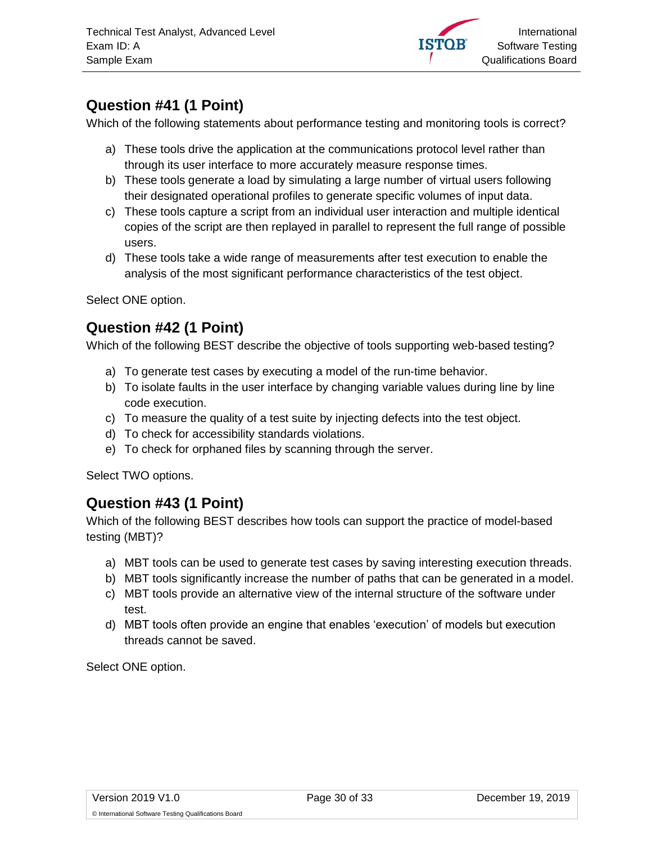

## <span id="page-29-0"></span>**Question #41 (1 Point)**

Which of the following statements about performance testing and monitoring tools is correct?

- a) These tools drive the application at the communications protocol level rather than through its user interface to more accurately measure response times.
- b) These tools generate a load by simulating a large number of virtual users following their designated operational profiles to generate specific volumes of input data.
- c) These tools capture a script from an individual user interaction and multiple identical copies of the script are then replayed in parallel to represent the full range of possible users.
- d) These tools take a wide range of measurements after test execution to enable the analysis of the most significant performance characteristics of the test object.

Select ONE option.

#### <span id="page-29-1"></span>**Question #42 (1 Point)**

Which of the following BEST describe the objective of tools supporting web-based testing?

- a) To generate test cases by executing a model of the run-time behavior.
- b) To isolate faults in the user interface by changing variable values during line by line code execution.
- c) To measure the quality of a test suite by injecting defects into the test object.
- d) To check for accessibility standards violations.
- e) To check for orphaned files by scanning through the server.

Select TWO options.

#### <span id="page-29-2"></span>**Question #43 (1 Point)**

Which of the following BEST describes how tools can support the practice of model-based testing (MBT)?

- a) MBT tools can be used to generate test cases by saving interesting execution threads.
- b) MBT tools significantly increase the number of paths that can be generated in a model.
- c) MBT tools provide an alternative view of the internal structure of the software under test.
- d) MBT tools often provide an engine that enables 'execution' of models but execution threads cannot be saved.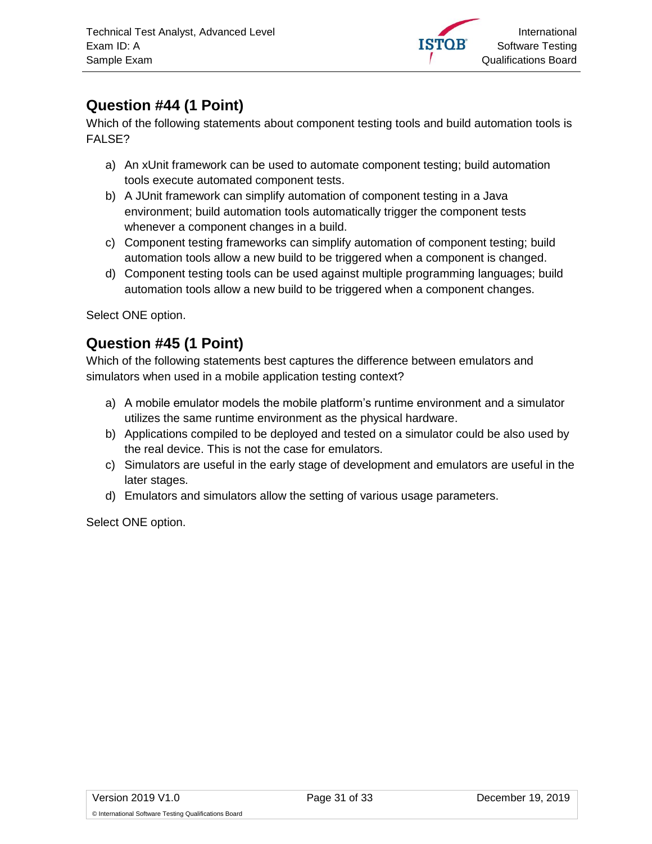

#### <span id="page-30-0"></span>**Question #44 (1 Point)**

Which of the following statements about component testing tools and build automation tools is FALSE?

- a) An xUnit framework can be used to automate component testing; build automation tools execute automated component tests.
- b) A JUnit framework can simplify automation of component testing in a Java environment; build automation tools automatically trigger the component tests whenever a component changes in a build.
- c) Component testing frameworks can simplify automation of component testing; build automation tools allow a new build to be triggered when a component is changed.
- d) Component testing tools can be used against multiple programming languages; build automation tools allow a new build to be triggered when a component changes.

Select ONE option.

#### <span id="page-30-1"></span>**Question #45 (1 Point)**

Which of the following statements best captures the difference between emulators and simulators when used in a mobile application testing context?

- a) A mobile emulator models the mobile platform's runtime environment and a simulator utilizes the same runtime environment as the physical hardware.
- b) Applications compiled to be deployed and tested on a simulator could be also used by the real device. This is not the case for emulators.
- c) Simulators are useful in the early stage of development and emulators are useful in the later stages.
- d) Emulators and simulators allow the setting of various usage parameters.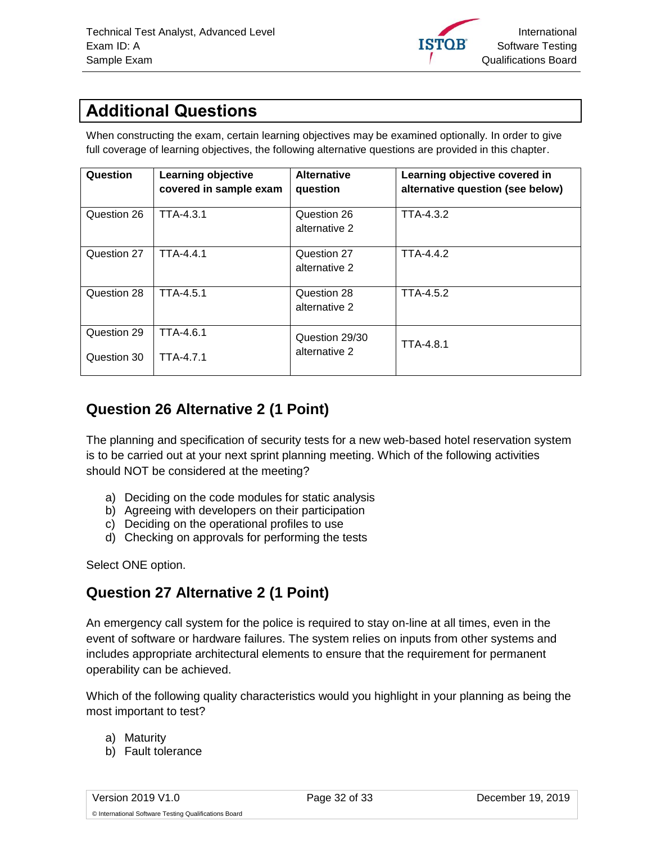

# <span id="page-31-0"></span>**Additional Questions**

When constructing the exam, certain learning objectives may be examined optionally. In order to give full coverage of learning objectives, the following alternative questions are provided in this chapter.

| Question                   | <b>Learning objective</b><br>covered in sample exam | <b>Alternative</b><br>question  | Learning objective covered in<br>alternative question (see below) |
|----------------------------|-----------------------------------------------------|---------------------------------|-------------------------------------------------------------------|
| Question 26                | <b>TTA-4.3.1</b>                                    | Question 26<br>alternative 2    | <b>TTA-4.3.2</b>                                                  |
| Question 27                | <b>TTA-4.4.1</b>                                    | Question 27<br>alternative 2    | <b>TTA-4.4.2</b>                                                  |
| Question 28                | <b>TTA-4.5.1</b>                                    | Question 28<br>alternative 2    | <b>TTA-4.5.2</b>                                                  |
| Question 29<br>Question 30 | <b>TTA-4.6.1</b><br><b>TTA-4.7.1</b>                | Question 29/30<br>alternative 2 | TTA-4.8.1                                                         |

#### <span id="page-31-1"></span>**Question 26 Alternative 2 (1 Point)**

The planning and specification of security tests for a new web-based hotel reservation system is to be carried out at your next sprint planning meeting. Which of the following activities should NOT be considered at the meeting?

- a) Deciding on the code modules for static analysis
- b) Agreeing with developers on their participation
- c) Deciding on the operational profiles to use
- d) Checking on approvals for performing the tests

Select ONE option.

#### <span id="page-31-2"></span>**Question 27 Alternative 2 (1 Point)**

An emergency call system for the police is required to stay on-line at all times, even in the event of software or hardware failures. The system relies on inputs from other systems and includes appropriate architectural elements to ensure that the requirement for permanent operability can be achieved.

Which of the following quality characteristics would you highlight in your planning as being the most important to test?

- a) Maturity
- b) Fault tolerance